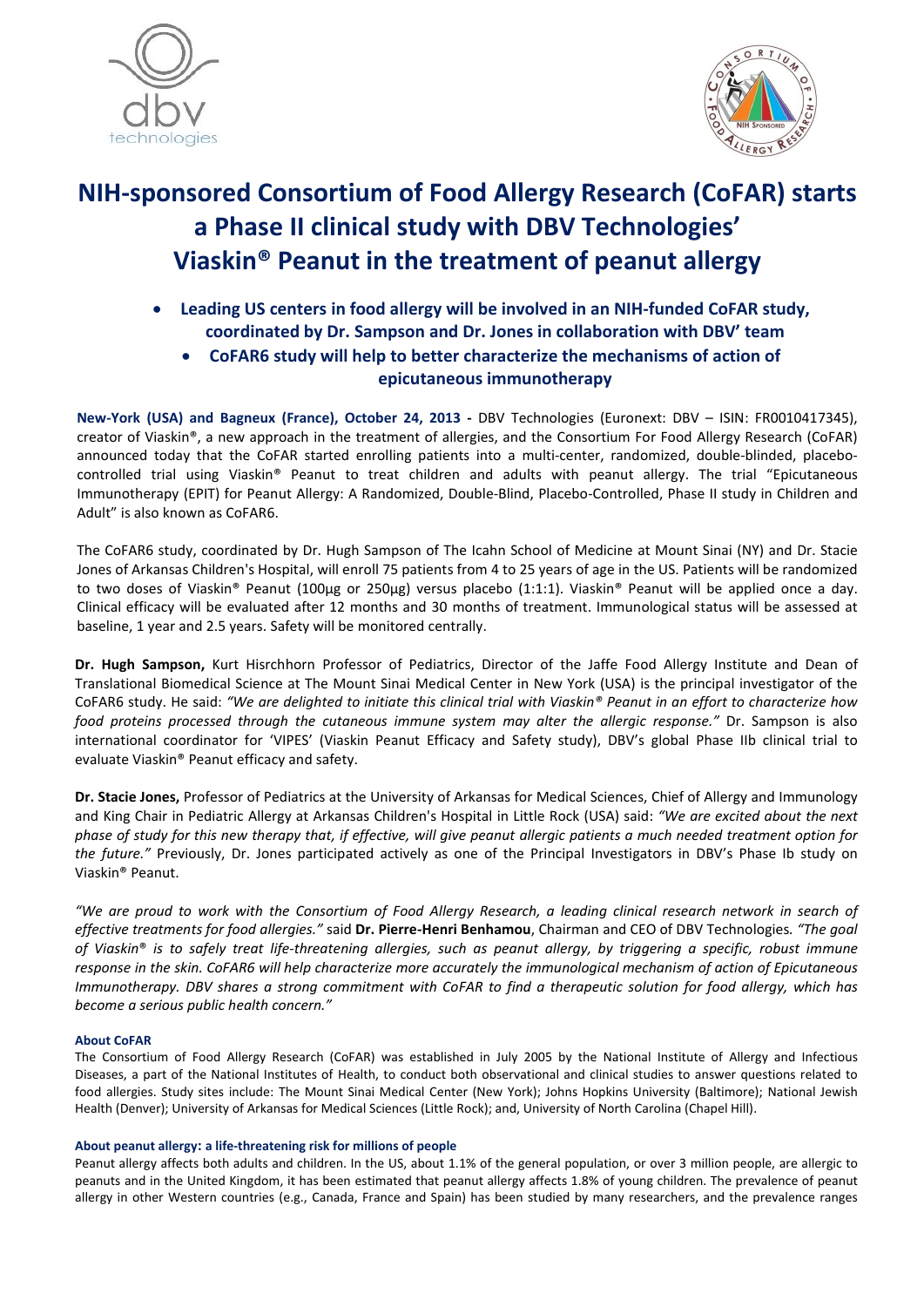



# NIH-sponsored Consortium of Food Allergy Research (CoFAR) starts a Phase II clinical study with DBV Technologies' Viaskin® Peanut in the treatment of peanut allergy

- Leading US centers in food allergy will be involved in an NIH-funded CoFAR study, coordinated by Dr. Sampson and Dr. Jones in collaboration with DBV' team
	- CoFAR6 study will help to better characterize the mechanisms of action of epicutaneous immunotherapy

New-York (USA) and Bagneux (France), October 24, 2013 - DBV Technologies (Euronext: DBV – ISIN: FR0010417345), creator of Viaskin®, a new approach in the treatment of allergies, and the Consortium For Food Allergy Research (CoFAR) announced today that the CoFAR started enrolling patients into a multi-center, randomized, double-blinded, placebocontrolled trial using Viaskin® Peanut to treat children and adults with peanut allergy. The trial "Epicutaneous Immunotherapy (EPIT) for Peanut Allergy: A Randomized, Double-Blind, Placebo-Controlled, Phase II study in Children and Adult" is also known as CoFAR6.

The CoFAR6 study, coordinated by Dr. Hugh Sampson of The Icahn School of Medicine at Mount Sinai (NY) and Dr. Stacie Jones of Arkansas Children's Hospital, will enroll 75 patients from 4 to 25 years of age in the US. Patients will be randomized to two doses of Viaskin® Peanut (100µg or 250µg) versus placebo (1:1:1). Viaskin® Peanut will be applied once a day. Clinical efficacy will be evaluated after 12 months and 30 months of treatment. Immunological status will be assessed at baseline, 1 year and 2.5 years. Safety will be monitored centrally.

Dr. Hugh Sampson, Kurt Hisrchhorn Professor of Pediatrics, Director of the Jaffe Food Allergy Institute and Dean of Translational Biomedical Science at The Mount Sinai Medical Center in New York (USA) is the principal investigator of the CoFAR6 study. He said: *"We are delighted to initiate this clinical trial with Viaskin® Peanut in an effort to characterize how food proteins processed through the cutaneous immune system may alter the allergic response."* Dr. Sampson is also international coordinator for 'VIPES' (Viaskin Peanut Efficacy and Safety study), DBV's global Phase IIb clinical trial to evaluate Viaskin® Peanut efficacy and safety.

Dr. Stacie Jones, Professor of Pediatrics at the University of Arkansas for Medical Sciences, Chief of Allergy and Immunology and King Chair in Pediatric Allergy at Arkansas Children's Hospital in Little Rock (USA) said: *"We are excited about the next phase of study for this new therapy that, if effective, will give peanut allergic patients a much needed treatment option for the future."* Previously, Dr. Jones participated actively as one of the Principal Investigators in DBV's Phase Ib study on Viaskin® Peanut.

*"We are proud to work with the Consortium of Food Allergy Research, a leading clinical research network in search of effective treatments for food allergies."* said Dr. Pierre-Henri Benhamou, Chairman and CEO of DBV Technologies*. "The goal of Viaskin*® *is to safely treat life-threatening allergies, such as peanut allergy, by triggering a specific, robust immune response in the skin. CoFAR6 will help characterize more accurately the immunological mechanism of action of Epicutaneous Immunotherapy. DBV shares a strong commitment with CoFAR to find a therapeutic solution for food allergy, which has become a serious public health concern."*

# About CoFAR

The Consortium of Food Allergy Research (CoFAR) was established in July 2005 by the National Institute of Allergy and Infectious Diseases, a part of the National Institutes of Health, to conduct both observational and clinical studies to answer questions related to food allergies. Study sites include: The Mount Sinai Medical Center (New York); Johns Hopkins University (Baltimore); National Jewish Health (Denver); University of Arkansas for Medical Sciences (Little Rock); and, University of North Carolina (Chapel Hill).

# About peanut allergy: a life-threatening risk for millions of people

Peanut allergy affects both adults and children. In the US, about 1.1% of the general population, or over 3 million people, are allergic to peanuts and in the United Kingdom, it has been estimated that peanut allergy affects 1.8% of young children. The prevalence of peanut allergy in other Western countries (e.g., Canada, France and Spain) has been studied by many researchers, and the prevalence ranges